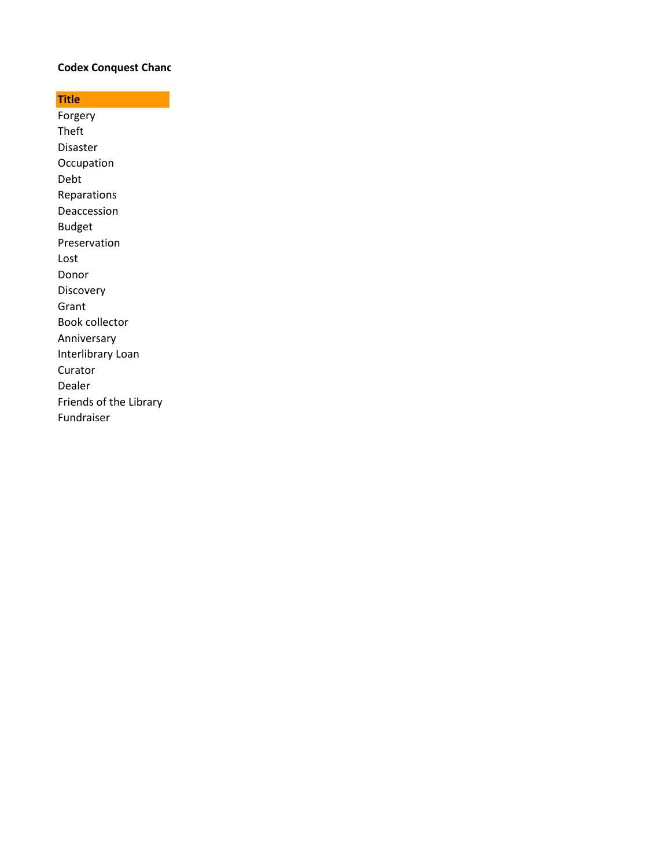## **Codex Conquest Chanc**

**Title** Forgery Theft Disaster **Occupation** Debt Reparations Deaccession Budget Preservation Lost Donor Discovery Grant Book collector Anniversary Interlibrary Loan Curator Dealer Friends of the Library Fundraiser